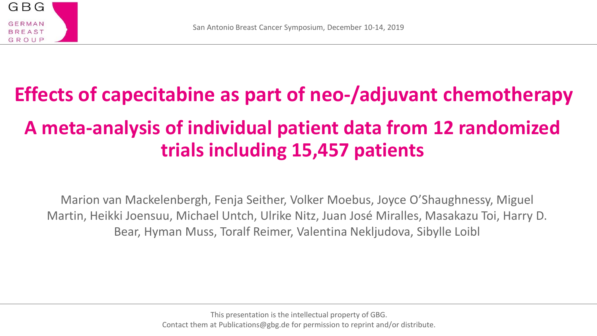

# **Effects of capecitabine as part of neo-/adjuvant chemotherapy A meta-analysis of individual patient data from 12 randomized trials including 15,457 patients**

Marion van Mackelenbergh, Fenja Seither, Volker Moebus, Joyce O'Shaughnessy, Miguel Martin, Heikki Joensuu, Michael Untch, Ulrike Nitz, Juan José Miralles, Masakazu Toi, Harry D. Bear, Hyman Muss, Toralf Reimer, Valentina Nekljudova, Sibylle Loibl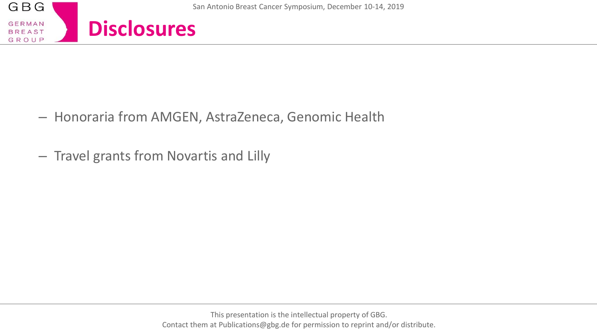

- Honoraria from AMGEN, AstraZeneca, Genomic Health
- Travel grants from Novartis and Lilly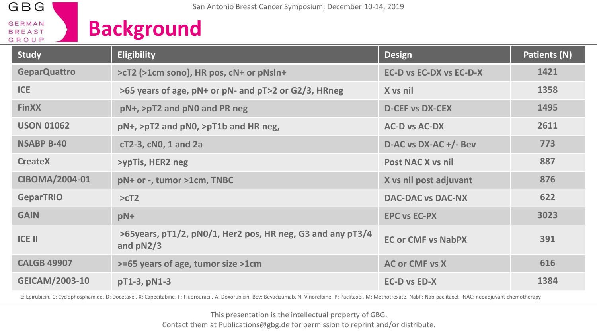

**Background**

| <b>Study</b>          | <b>Eligibility</b>                                                        | <b>Design</b>                  | Patients (N) |
|-----------------------|---------------------------------------------------------------------------|--------------------------------|--------------|
| <b>GeparQuattro</b>   | >cT2 (>1cm sono), HR pos, cN+ or pNsln+                                   | <b>EC-D vs EC-DX vs EC-D-X</b> | 1421         |
| <b>ICE</b>            | >65 years of age, pN+ or pN- and pT>2 or G2/3, HRneg                      | X vs nil                       | 1358         |
| <b>FinXX</b>          | pN+, >pT2 and pN0 and PR neg                                              | <b>D-CEF vs DX-CEX</b>         | 1495         |
| <b>USON 01062</b>     | pN+, >pT2 and pN0, >pT1b and HR neg,                                      | <b>AC-D vs AC-DX</b>           | 2611         |
| <b>NSABP B-40</b>     | cT2-3, cN0, 1 and 2a                                                      | D-AC vs DX-AC +/- Bev          | 773          |
| <b>CreateX</b>        | >ypTis, HER2 neg                                                          | Post NAC X vs nil              | 887          |
| CIBOMA/2004-01        | pN+ or -, tumor >1cm, TNBC                                                | X vs nil post adjuvant         | 876          |
| <b>GeparTRIO</b>      | >cT2                                                                      | <b>DAC-DAC vs DAC-NX</b>       | 622          |
| <b>GAIN</b>           | pN+                                                                       | <b>EPC vs EC-PX</b>            | 3023         |
| <b>ICE II</b>         | >65years, pT1/2, pN0/1, Her2 pos, HR neg, G3 and any pT3/4<br>and $pN2/3$ | <b>EC or CMF vs NabPX</b>      | 391          |
| <b>CALGB 49907</b>    | >=65 years of age, tumor size >1cm                                        | <b>AC or CMF vs X</b>          | 616          |
| <b>GEICAM/2003-10</b> | pT1-3, pN1-3                                                              | <b>EC-D vs ED-X</b>            | 1384         |

E: Epirubicin, C: Cyclophosphamide, D: Docetaxel, X: Capecitabine, F: Fluorouracil, A: Doxorubicin, Bev: Bevacizumab, N: Vinorelbine, P: Paclitaxel, M: Methotrexate, NabP: Nab-paclitaxel, NAC: neoadjuvant chemotherapy

This presentation is the intellectual property of GBG. Contact them at Publications@gbg.de for permission to reprint and/or distribute.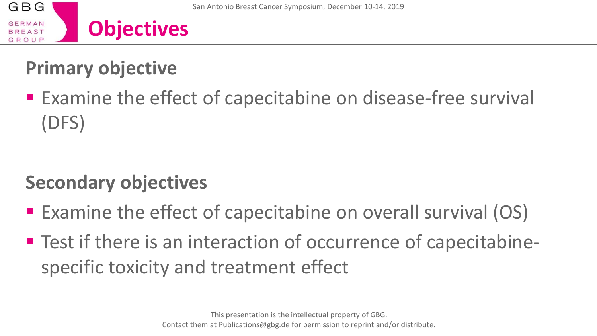# **Primary objective**

**Examine the effect of capecitabine on disease-free survival** (DFS)

# **Secondary objectives**

- Examine the effect of capecitabine on overall survival (OS)
- Test if there is an interaction of occurrence of capecitabinespecific toxicity and treatment effect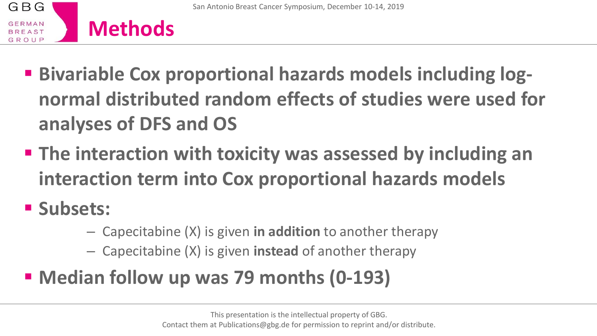

- **E** Bivariable Cox proportional hazards models including log**normal distributed random effects of studies were used for analyses of DFS and OS**
- **The interaction with toxicity was assessed by including an interaction term into Cox proportional hazards models**
- **Subsets:** 
	- Capecitabine (X) is given **in addition** to another therapy
	- Capecitabine (X) is given **instead** of another therapy
- **Median follow up was 79 months (0-193)**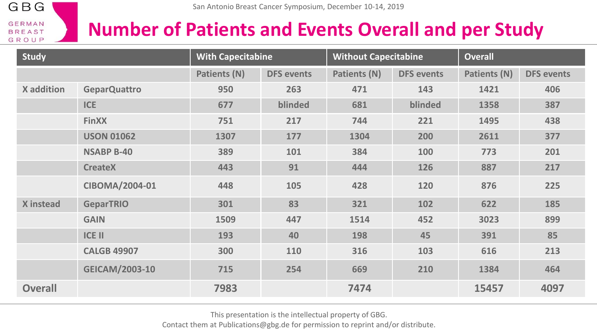

### **Number of Patients and Events Overall and per Study**

| <b>Study</b>      |                       | <b>With Capecitabine</b> |                   | <b>Without Capecitabine</b> |                   | <b>Overall</b> |                   |  |
|-------------------|-----------------------|--------------------------|-------------------|-----------------------------|-------------------|----------------|-------------------|--|
|                   |                       | Patients (N)             | <b>DFS</b> events | Patients (N)                | <b>DFS</b> events | Patients (N)   | <b>DFS</b> events |  |
| <b>X</b> addition | <b>GeparQuattro</b>   | 950                      | 263               | 471                         | 143               | 1421           | 406               |  |
|                   | <b>ICE</b>            | 677                      | blinded           | 681                         | blinded           | 1358           | 387               |  |
|                   | <b>FinXX</b>          | 751                      | 217               | 744                         | 221               | 1495           | 438               |  |
|                   | <b>USON 01062</b>     | 1307                     | 177               | 1304                        | 200               | 2611           | 377               |  |
|                   | <b>NSABP B-40</b>     | 389                      | 101               | 384                         | 100               | 773            | 201               |  |
|                   | <b>CreateX</b>        | 443                      | 91                | 444                         | 126               | 887            | 217               |  |
|                   | CIBOMA/2004-01        | 448                      | 105               | 428                         | 120               | 876            | 225               |  |
| X instead         | <b>GeparTRIO</b>      | 301                      | 83                | 321                         | 102               | 622            | 185               |  |
|                   | <b>GAIN</b>           | 1509                     | 447               | 1514                        | 452               | 3023           | 899               |  |
|                   | <b>ICE II</b>         | 193                      | 40                | 198                         | 45                | 391            | 85                |  |
|                   | <b>CALGB 49907</b>    | 300                      | 110               | 316                         | 103               | 616            | 213               |  |
|                   | <b>GEICAM/2003-10</b> | 715                      | 254               | 669                         | 210               | 1384           | 464               |  |
| <b>Overall</b>    |                       | 7983                     |                   | 7474                        |                   | 15457          | 4097              |  |

This presentation is the intellectual property of GBG.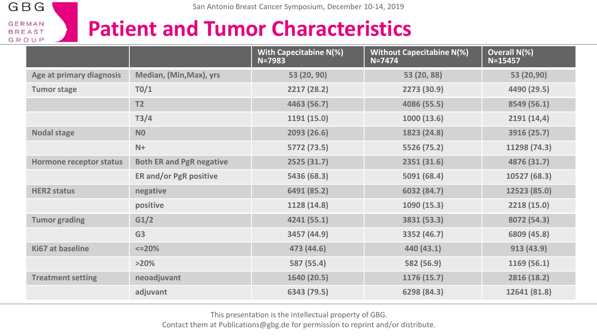## **Patient and Tumor Characteristics**

|                          |                                 | With Capecitabine N(%)<br>$N = 7983$ | <b>Without Capecitabine N(%)</b><br>$N = 7474$ | Overall N(%)<br>$N = 15457$ |
|--------------------------|---------------------------------|--------------------------------------|------------------------------------------------|-----------------------------|
| Age at primary diagnosis | Median, (Min, Max), yrs         | 53 (20, 90)                          | 53 (20, 88)                                    | 53 (20,90)                  |
| <b>Tumor stage</b>       | T0/1                            | 2217 (28.2)                          | 2273 (30.9)                                    | 4490 (29.5)                 |
|                          | T <sub>2</sub>                  | 4463 (56.7)                          | 4086 (55.5)                                    | 8549 (56.1)                 |
|                          | T3/4                            | 1191(15.0)                           | 1000(13.6)                                     | 2191(14,4)                  |
| <b>Nodal stage</b>       | N <sub>0</sub>                  | 2093 (26.6)                          | 1823 (24.8)                                    | 3916 (25.7)                 |
|                          | $N+$                            | 5772 (73.5)                          | 5526 (75.2)                                    | 11298 (74.3)                |
| Hormone receptor status  | <b>Both ER and PgR negative</b> | 2525(31.7)                           | 2351(31.6)                                     | 4876 (31.7)                 |
|                          | <b>ER and/or PgR positive</b>   | 5436 (68.3)                          | 5091 (68.4)                                    | 10527 (68.3)                |
| <b>HER2 status</b>       | negative                        | 6491 (85.2)                          | 6032 (84.7)                                    | 12523 (85.0)                |
|                          | positive                        | 1128 (14.8)                          | 1090 (15.3)                                    | 2218(15.0)                  |
| <b>Tumor grading</b>     | G1/2                            | 4241 (55.1)                          | 3831 (53.3)                                    | 8072 (54.3)                 |
|                          | G <sub>3</sub>                  | 3457 (44.9)                          | 3352 (46.7)                                    | 6809 (45.8)                 |
| Ki67 at baseline         | $<=$ 20%                        | 473 (44.6)                           | 440 (43.1)                                     | 913 (43.9)                  |
|                          | >20%                            | 587 (55.4)                           | 582 (56.9)                                     | 1169(56.1)                  |
| <b>Treatment setting</b> | neoadjuvant                     | 1640 (20.5)                          | 1176 (15.7)                                    | 2816 (18.2)                 |
|                          | adjuvant                        | 6343 (79.5)                          | 6298 (84.3)                                    | 12641 (81.8)                |

This presentation is the intellectual property of GBG.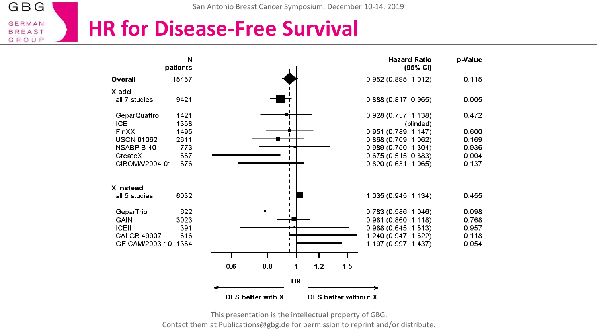### **HR for Disease-Free Survival**

|                     | N<br>patients |     |                   |    |     |                             | <b>Hazard Ratio</b><br>(95% CI)   | p-Value |
|---------------------|---------------|-----|-------------------|----|-----|-----------------------------|-----------------------------------|---------|
| Overall             | 15457         |     |                   |    |     |                             | 0.952 (0.895, 1.012)              | 0.115   |
| X add               |               |     |                   |    |     |                             |                                   |         |
| all 7 studies       | 9421          |     |                   |    |     |                             | 0.888 (0.817, 0.965)              | 0.005   |
| GeparQuattro<br>ICE | 1421<br>1358  |     |                   |    |     |                             | 0.928 (0.757, 1.138)<br>(blinded) | 0.472   |
| FinXX               | 1495          |     |                   |    |     |                             | 0.951(0.789, 1.147)               | 0.600   |
| <b>USON 01062</b>   | 2611          |     |                   |    |     |                             | 0.868(0.709, 1.062)               | 0.169   |
| NSABP B-40          | 773           |     |                   |    |     |                             | 0.989 (0.750, 1.304)              | 0.936   |
| CreateX             | 887           |     |                   |    |     |                             | 0.675(0.515, 0.883)               | 0.004   |
| CIBOMA/2004-01      | 876           |     |                   |    |     |                             | 0.820(0.631, 1.065)               | 0.137   |
| X instead           |               |     |                   |    |     |                             |                                   |         |
| all 5 studies       | 6032          |     |                   |    |     |                             | 1.035 (0.945, 1.134)              | 0.455   |
| GeparTrio           | 622           |     |                   |    |     |                             | 0.783 (0.586, 1.046)              | 0.098   |
| <b>GAIN</b>         | 3023          |     |                   |    |     |                             | 0.981(0.860, 1.118)               | 0.768   |
| <b>ICEII</b>        | 391           |     |                   |    |     |                             | 0.988 (0.645, 1.513)              | 0.957   |
| <b>CALGB 49907</b>  | 616           |     |                   |    |     |                             | 1.240 (0.947, 1.622)              | 0.118   |
| GEICAM/2003-10      | 1384          |     |                   |    |     |                             | 1.197 (0.997, 1.437)              | 0.054   |
|                     |               |     |                   |    |     |                             |                                   |         |
|                     |               | 0.6 | 0.8               | 1  | 1.2 | 1.5                         |                                   |         |
|                     |               |     |                   | HR |     |                             |                                   |         |
|                     |               |     | DFS better with X |    |     | <b>DFS better without X</b> |                                   |         |

This presentation is the intellectual property of GBG. Contact them at Publications@gbg.de for permission to reprint and/or distribute.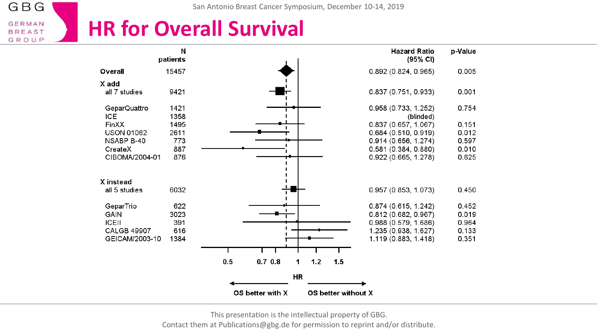### **HR for Overall Survival**

|                                                                                                         | N<br>patients                                    |                                  | <b>Hazard Ratio</b><br>(95% CI)                                                                                                           | p-Value                                            |
|---------------------------------------------------------------------------------------------------------|--------------------------------------------------|----------------------------------|-------------------------------------------------------------------------------------------------------------------------------------------|----------------------------------------------------|
| Overall                                                                                                 | 15457                                            |                                  | 0.892(0.824, 0.965)                                                                                                                       | 0.005                                              |
| X add                                                                                                   |                                                  |                                  |                                                                                                                                           |                                                    |
| all 7 studies                                                                                           | 9421                                             |                                  | 0.837 (0.751, 0.933)                                                                                                                      | 0.001                                              |
| GeparQuattro                                                                                            | 1421                                             |                                  | 0.958 (0.733, 1.252)                                                                                                                      | 0.754                                              |
| ICE                                                                                                     | 1358                                             |                                  | (blinded)                                                                                                                                 |                                                    |
| FinXX                                                                                                   | 1495                                             |                                  | 0.837(0.657, 1.067)                                                                                                                       | 0.151                                              |
| <b>USON 01062</b>                                                                                       | 2611                                             |                                  | 0.684(0.510, 0.919)                                                                                                                       | 0.012                                              |
| NSABP B-40                                                                                              | 773                                              |                                  | 0.914 (0.656, 1.274)                                                                                                                      | 0.597                                              |
| CreateX                                                                                                 | 887                                              |                                  | 0.581(0.384, 0.880)                                                                                                                       | 0.010                                              |
| CIBOMA/2004-01                                                                                          | 876                                              |                                  | 0.922 (0.665, 1.278)                                                                                                                      | 0.625                                              |
| X instead<br>all 5 studies<br>GeparTrio<br><b>GAIN</b><br>ICEII<br><b>CALGB 49907</b><br>GEICAM/2003-10 | 6032<br>622<br>3023<br>391<br>616<br>1384<br>0.5 | 0.70.8<br>$1.2$<br>15<br>1<br>HR | 0.957(0.853, 1.073)<br>0.874(0.615, 1.242)<br>0.812(0.682, 0.967)<br>0.988 (0.579, 1.686)<br>1.235 (0.938, 1.627)<br>1.119 (0.883, 1.418) | 0.450<br>0.452<br>0.019<br>0.964<br>0.133<br>0.351 |
|                                                                                                         |                                                  |                                  |                                                                                                                                           |                                                    |
|                                                                                                         | OS better with X                                 | OS better without X              |                                                                                                                                           |                                                    |

This presentation is the intellectual property of GBG.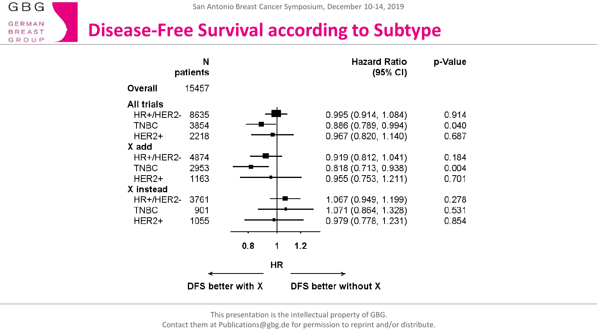#### **Disease-Free Survival according to Subtype**

|                                                                                        | N<br>patients                                |                                                          | <b>Hazard Ratio</b><br>(95% CI)                                                                                                           | p-Value                                            |
|----------------------------------------------------------------------------------------|----------------------------------------------|----------------------------------------------------------|-------------------------------------------------------------------------------------------------------------------------------------------|----------------------------------------------------|
| Overall                                                                                | 15457                                        |                                                          |                                                                                                                                           |                                                    |
| All trials<br>HR+/HER2-<br>TNBC<br>HER2+<br>X add<br>HR+/HER2-<br><b>TNBC</b><br>HER2+ | 8635<br>3854<br>2218<br>4874<br>2953<br>1163 |                                                          | 0.995 (0.914, 1.084)<br>0.886 (0.789, 0.994)<br>0.967(0.820, 1.140)<br>0.919(0.812, 1.041)<br>0.818 (0.713, 0.938)<br>0.955(0.753, 1.211) | 0.914<br>0.040<br>0.687<br>0.184<br>0.004<br>0.701 |
| X instead<br>HR+/HER2-<br><b>TNBC</b><br>HER2+                                         | 3761<br>901<br>1055                          |                                                          | 1.067 (0.949, 1.199)<br>1.071 (0.864, 1.328)<br>0.979 (0.778, 1.231)                                                                      | 0.278<br>0.531<br>0.854                            |
|                                                                                        |                                              | 0.8<br>1.2<br>1<br><b>HR</b><br><b>DFS better with X</b> | <b>DFS better without X</b>                                                                                                               |                                                    |

This presentation is the intellectual property of GBG. Contact them at Publications@gbg.de for permission to reprint and/or distribute.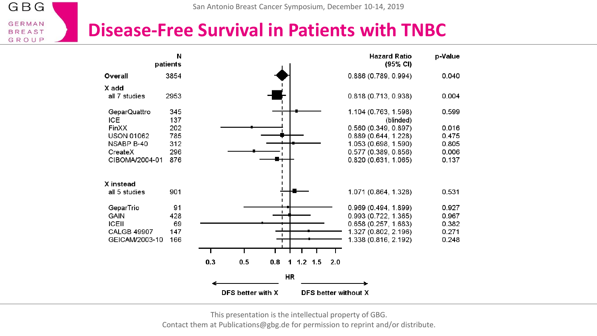#### **Disease-Free Survival in Patients with TNBC**

| patients                           | N                 |                             | <b>Hazard Ratio</b><br>$(95% \text{ Cl})$ | p-Value |
|------------------------------------|-------------------|-----------------------------|-------------------------------------------|---------|
| 3854<br>Overall                    |                   |                             | 0.886 (0.789, 0.994)                      | 0040    |
| X add                              |                   |                             |                                           |         |
| 2953<br>all 7 studies              |                   |                             | 0.818 (0.713, 0.938)                      | 0.004   |
| GeparQuattro<br>345<br>ICE.<br>137 |                   |                             | 1.104 (0.763, 1.598)<br>(blinded)         | 0.599   |
| 202<br><b>FinXX</b>                |                   |                             | 0.560(0.349, 0.897)                       | 0.016   |
| 785<br><b>USON 01062</b>           |                   |                             | 0.889(0.644, 1.228)                       | 0.475   |
| NSABP B-40<br>312                  |                   |                             | 1.053 (0.698, 1.590)                      | 0805    |
| 296<br>CreateX                     |                   |                             | 0.577(0.389, 0.856)                       | 0.006   |
| CIBOMA/2004-01<br>876              |                   |                             | 0.820(0.631, 1.065)                       | 0.137   |
| X instead                          |                   |                             |                                           |         |
| 901<br>all 5 studies               |                   |                             | 1.071 (0.864, 1.328)                      | 0.531   |
| GeparTrio                          | 91                |                             | 0.969(0.494, 1.899)                       | 0.927   |
| <b>GAIN</b><br>428                 |                   | п                           | 0.993 (0.722, 1.365)                      | 0967    |
| <b>ICEII</b>                       | 69                |                             | 0.658(0.257, 1.683)                       | 0.382   |
| 147<br><b>CALGB 49907</b>          |                   | п                           | 1.327 (0.802, 2.196)                      | 0.271   |
| GEICAM/2003-10<br>166              |                   |                             | 1.338 (0.816, 2.192)                      | 0.248   |
|                                    |                   |                             |                                           |         |
|                                    | 0.3<br>0.5<br>0.8 | $1.2$ 1.5<br>2.0<br>1       |                                           |         |
|                                    |                   | <b>HR</b>                   |                                           |         |
|                                    |                   |                             |                                           |         |
|                                    | DFS better with X | <b>DFS better without X</b> |                                           |         |

This presentation is the intellectual property of GBG.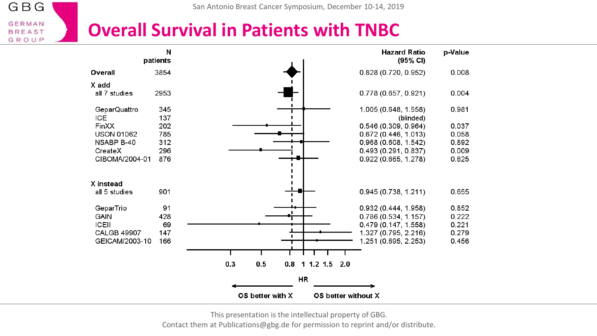#### **Overall Survival in Patients with TNBC**

|                                    | N<br>patients |                                         | <b>Hazard Ratio</b><br>(95% CI) | p-Value        |
|------------------------------------|---------------|-----------------------------------------|---------------------------------|----------------|
| Overall                            | 3854          |                                         | 0.828 (0.720, 0.952)            | 0.008          |
| X add                              |               |                                         |                                 |                |
| all 7 studies                      | 2953          |                                         | 0.778 (0.657, 0.921)            | 0.004          |
| GeparQuattro                       | 345           |                                         | 1.005 (0.648, 1.558)            | 0.981          |
| <b>ICE</b>                         | 137           |                                         | (blinded)                       |                |
| FinXX                              | 202           |                                         | 0.546 (0.309, 0.964)            | 0.037          |
| <b>USON 01062</b>                  | 785           |                                         | 0.672 (0.446, 1.013)            | 0.058          |
| NSABP B-40                         | 312           |                                         | 0.968(0.608, 1.542)             | 0.892          |
| CreateX                            | 296           |                                         | 0.493 (0.291, 0.837)            | 0.009          |
| CIBOMA/2004-01                     | 876           |                                         | 0.922 (0.665, 1.278)            | 0.625          |
|                                    |               |                                         |                                 |                |
| X instead                          |               |                                         |                                 |                |
| all 5 studies                      | 901           |                                         | 0.945 (0.738, 1.211)            | 0.655          |
|                                    | 91            |                                         |                                 | 0.852          |
| GeparTrio                          |               |                                         | 0.932(0.444, 1.958)             |                |
| <b>GAIN</b>                        | 428           |                                         | 0.786(0.534, 1.157)             | 0.222          |
| <b>ICEII</b><br><b>CALGB 49907</b> | 69<br>147     |                                         | 0.479 (0.147, 1.558)            | 0.221<br>0.279 |
| GEICAM/2003-10                     | 166           |                                         | 1.327 (0.795, 2.216)            |                |
|                                    |               |                                         | 1 251 (0 695, 2 253)            | 0.456          |
|                                    |               |                                         |                                 |                |
|                                    |               | 0.3<br>0.5<br>0.8<br>1 1.2 1.5 2.0      |                                 |                |
|                                    |               | HR                                      |                                 |                |
|                                    |               |                                         |                                 |                |
|                                    |               | OS better with X<br>OS better without X |                                 |                |

This presentation is the intellectual property of GBG.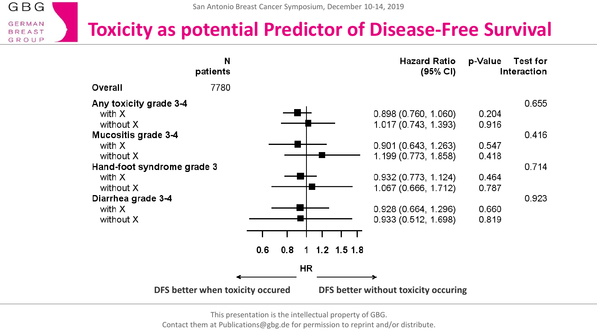San Antonio Breast Cancer Symposium, December 10-14, 2019

GBG

**GERMAN BREAST** GROUP

### **Toxicity as potential Predictor of Disease-Free Survival**

|                                  | N<br>patients |     |    |               |                                      | <b>Hazard Ratio</b><br>(95% CI) | p-Value | <b>Test for</b><br>Interaction |
|----------------------------------|---------------|-----|----|---------------|--------------------------------------|---------------------------------|---------|--------------------------------|
| Overall                          | 7780          |     |    |               |                                      |                                 |         |                                |
| Any toxicity grade 3-4           |               |     |    |               |                                      |                                 |         | 0.655                          |
| with X                           |               |     |    |               | 0.898(0.760, 1.060)                  |                                 | 0.204   |                                |
| without X                        |               |     |    |               | 1.017 (0.743, 1.393)                 |                                 | 0.916   |                                |
| <b>Mucositis grade 3-4</b>       |               |     |    |               |                                      |                                 |         | 0.416                          |
| with X                           |               |     |    |               | 0.901(0.643, 1.263)                  |                                 | 0.547   |                                |
| without X                        |               |     |    |               | 1.199 (0.773, 1.858)                 |                                 | 0.418   |                                |
| Hand-foot syndrome grade 3       |               |     |    |               |                                      |                                 |         | 0.714                          |
| with X                           |               |     |    |               | 0.932(0.773, 1.124)                  |                                 | 0.464   |                                |
| without X                        |               |     |    |               | 1.067 (0.666, 1.712)                 |                                 | 0.787   |                                |
| Diarrhea grade 3-4               |               |     |    |               |                                      |                                 |         | 0.923                          |
| with X                           |               |     |    |               | 0.928(0.664, 1.296)                  |                                 | 0.660   |                                |
| without X                        |               |     |    |               | 0.933(0.512, 1.698)                  |                                 | 0.819   |                                |
|                                  |               |     |    |               |                                      |                                 |         |                                |
|                                  |               |     |    |               |                                      |                                 |         |                                |
|                                  | 0.6           | 0.8 |    | 1 1.2 1.5 1.8 |                                      |                                 |         |                                |
|                                  |               |     | HR |               |                                      |                                 |         |                                |
|                                  |               |     |    |               |                                      |                                 |         |                                |
| DFS better when toxicity occured |               |     |    |               | DFS better without toxicity occuring |                                 |         |                                |

This presentation is the intellectual property of GBG.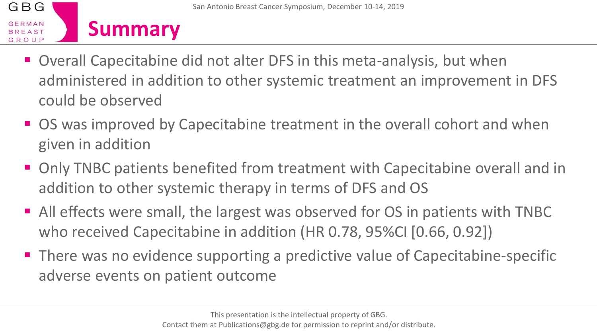

- Overall Capecitabine did not alter DFS in this meta-analysis, but when administered in addition to other systemic treatment an improvement in DFS could be observed
- OS was improved by Capecitabine treatment in the overall cohort and when given in addition
- Only TNBC patients benefited from treatment with Capecitabine overall and in addition to other systemic therapy in terms of DFS and OS
- All effects were small, the largest was observed for OS in patients with TNBC who received Capecitabine in addition (HR 0.78, 95%CI [0.66, 0.92])
- There was no evidence supporting a predictive value of Capecitabine-specific adverse events on patient outcome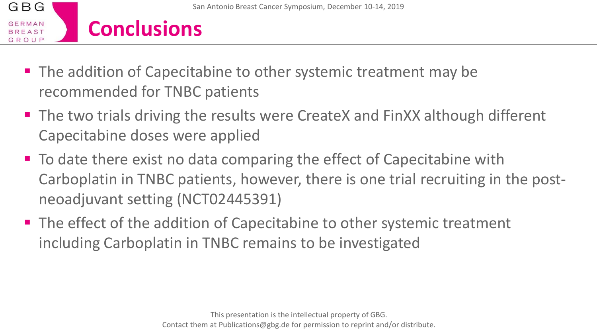

- The addition of Capecitabine to other systemic treatment may be recommended for TNBC patients
- The two trials driving the results were CreateX and FinXX although different Capecitabine doses were applied
- To date there exist no data comparing the effect of Capecitabine with Carboplatin in TNBC patients, however, there is one trial recruiting in the postneoadjuvant setting (NCT02445391)
- The effect of the addition of Capecitabine to other systemic treatment including Carboplatin in TNBC remains to be investigated